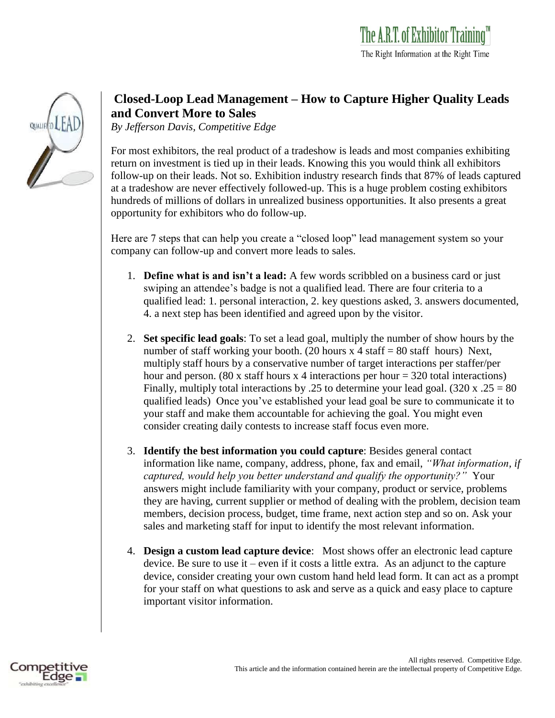| <b>QUALIFIT</b> |  |  |
|-----------------|--|--|
|                 |  |  |
|                 |  |  |
|                 |  |  |

## **Closed-Loop Lead Management – How to Capture Higher Quality Leads and Convert More to Sales**

*By Jefferson Davis, Competitive Edge*

For most exhibitors, the real product of a tradeshow is leads and most companies exhibiting return on investment is tied up in their leads. Knowing this you would think all exhibitors follow-up on their leads. Not so. Exhibition industry research finds that 87% of leads captured at a tradeshow are never effectively followed-up. This is a huge problem costing exhibitors hundreds of millions of dollars in unrealized business opportunities. It also presents a great opportunity for exhibitors who do follow-up.

Here are 7 steps that can help you create a "closed loop" lead management system so your company can follow-up and convert more leads to sales.

- 1. **Define what is and isn't a lead:** A few words scribbled on a business card or just swiping an attendee's badge is not a qualified lead. There are four criteria to a qualified lead: 1. personal interaction, 2. key questions asked, 3. answers documented, 4. a next step has been identified and agreed upon by the visitor.
- 2. **Set specific lead goals**: To set a lead goal, multiply the number of show hours by the number of staff working your booth. (20 hours  $x = 4$  staff = 80 staff hours) Next, multiply staff hours by a conservative number of target interactions per staffer/per hour and person. (80 x staff hours x 4 interactions per hour  $=$  320 total interactions) Finally, multiply total interactions by .25 to determine your lead goal.  $(320 \times .25 = 80)$ qualified leads) Once you've established your lead goal be sure to communicate it to your staff and make them accountable for achieving the goal. You might even consider creating daily contests to increase staff focus even more.
- 3. **Identify the best information you could capture**: Besides general contact information like name, company, address, phone, fax and email, *"What information, if captured, would help you better understand and qualify the opportunity?"* Your answers might include familiarity with your company, product or service, problems they are having, current supplier or method of dealing with the problem, decision team members, decision process, budget, time frame, next action step and so on. Ask your sales and marketing staff for input to identify the most relevant information.
- 4. **Design a custom lead capture device**: Most shows offer an electronic lead capture device. Be sure to use it – even if it costs a little extra. As an adjunct to the capture device, consider creating your own custom hand held lead form. It can act as a prompt for your staff on what questions to ask and serve as a quick and easy place to capture important visitor information.